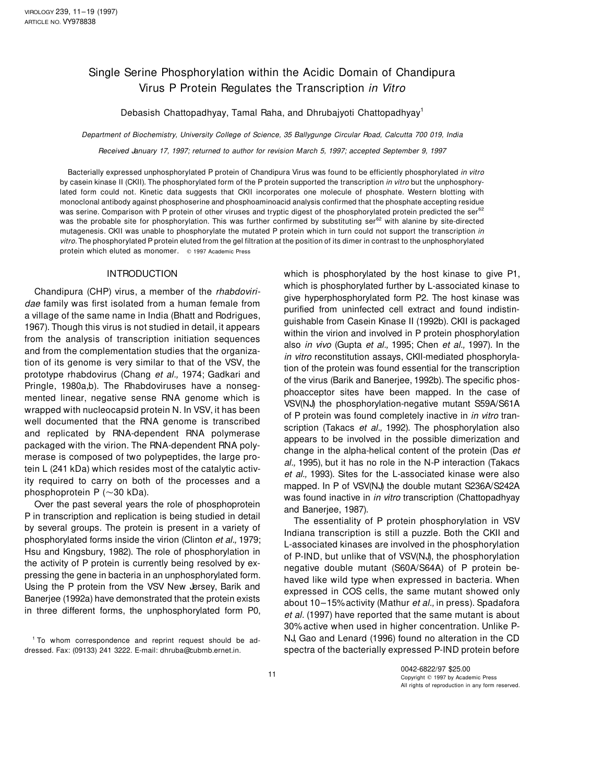# Single Serine Phosphorylation within the Acidic Domain of Chandipura Virus P Protein Regulates the Transcription in Vitro

Debasish Chattopadhyay, Tamal Raha, and Dhrubajyoti Chattopadhyay<sup>1</sup>

Department of Biochemistry, University College of Science, 35 Ballygunge Circular Road, Calcutta 700 019, India

Received January 17, 1997; returned to author for revision March 5, 1997; accepted September 9, 1997

Bacterially expressed unphosphorylated P protein of Chandipura Virus was found to be efficiently phosphorylated in vitro by casein kinase II (CKII). The phosphorylated form of the P protein supported the transcription in vitro but the unphosphorylated form could not. Kinetic data suggests that CKII incorporates one molecule of phosphate. Western blotting with monoclonal antibody against phosphoserine and phosphoaminoacid analysis confirmed that the phosphate accepting residue was serine. Comparison with P protein of other viruses and tryptic digest of the phosphorylated protein predicted the ser<sup>62</sup> was the probable site for phosphorylation. This was further confirmed by substituting ser<sup>62</sup> with alanine by site-directed mutagenesis. CKII was unable to phosphorylate the mutated P protein which in turn could not support the transcription in vitro. The phosphorylated P protein eluted from the gel filtration at the position of its dimer in contrast to the unphosphorylated protein which eluted as monomer. @ 1997 Academic Press

P in transcription and replication is being studied in detail by several groups. The protein is present in a variety of Indiana transcription is still a puzzle. Both the CKII and transcription is still a puzzle. Both the CKII and transcription is still a puzzle. Both the CKII and tr phosphorylated forms inside the virion (Clinton *et al.*, 1979; L-associated kinases are involved in the phosphorylation<br>Hsu and Kingsbury, 1982). The role of phosphorylation in Let B IND but wellies that of VSV(NL) the ph Hsu and Kingsbury, 1962). The role of phosphorylation in of P-IND, but unlike that of VSV(NJ), the phosphorylation the activity of P protein is currently being resolved by ex-<br>executive deviate mutant (CCOA/CCAA) of P prot the activity of P protein is currently being resolved by ex-<br>pressing the gene in bacteria in an unphosphorylated form.<br>hound like wild time when expressed in bacteria. When pressing the gene in bacteria in an unphosphorylated form. haved like wild type when expressed in bacteria. When<br>Using the P protein from the VSV New Jersey, Barik and a synthesial in COS selle, the same mutant abound selv Using the P protein from the VSV New Jersey, Barik and expressed in COS cells, the same mutant showed only<br>Banerjee (1992a) have demonstrated that the protein exists about 10, 15% ostivity (Mothur at al. in proce). Spedafo Banerjee (1992a) have demonstrated that the protein exists about 10–15% activity (Mathur *et al.*, in press). Spadafora<br>in three different forms, the unphosphorylated form P0, at al. (1997) have reported that the same muta

dressed. Fax: (09133) 241 3222. E-mail: dhruba@cubmb.ernet.in. spectra of the bacterially expressed P-IND protein before

INTRODUCTION which is phosphorylated by the host kinase to give P1, Chandipura (CHP) virus, a member of the *rhabdoviri* which is phosphorylated further by L-associated kinase to<br>
dae family was first isolated from a human female from<br>
a village of the same name in India (Bhatt and Rodrig prototype rhabdovirus (Chang et al., 1974; Gadkari and<br>
Pringle, 1980a,b). The Rhabdoviruses have a nonseque of the virus (Barik and Banerjee, 1992b). The specific phos-<br>
mented linear, negative sense RNA genome which is<br>

The essentiality of P protein phosphorylation in VSV et al. (1997) have reported that the same mutant is about 30% active when used in higher concentration. Unlike P-1 To whom correspondence and reprint request should be ad- NJ, Gao and Lenard (1996) found no alteration in the CD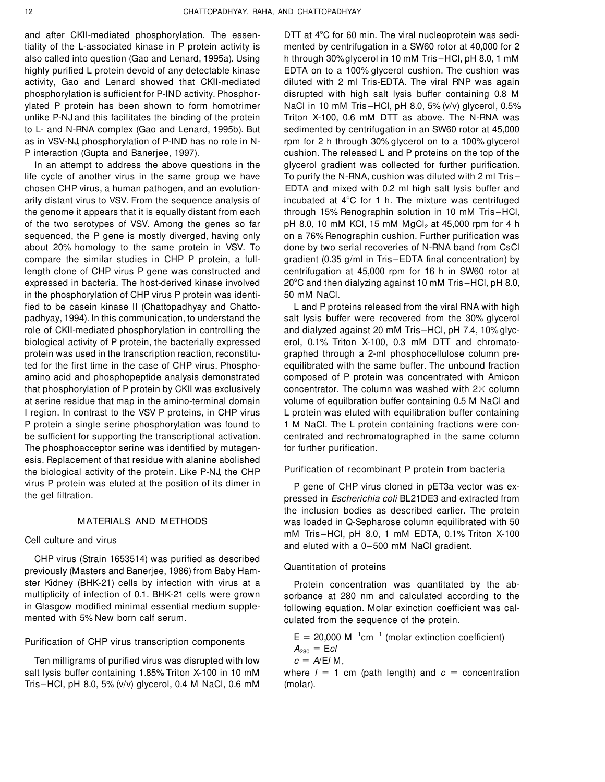and after CKII-mediated phosphorylation. The essen-<br>DTT at 4°C for 60 min. The viral nucleoprotein was seditiality of the L-associated kinase in P protein activity is mented by centrifugation in a SW60 rotor at 40,000 for 2 also called into question (Gao and Lenard, 1995a). Using h through 30%glycerol in 10 mM Tris –HCl, pH 8.0, 1 mM highly purified L protein devoid of any detectable kinase EDTA on to a 100% glycerol cushion. The cushion was activity, Gao and Lenard showed that CKII-mediated diluted with 2 ml Tris-EDTA. The viral RNP was again phosphorylation is sufficient for P-IND activity. Phosphor- disrupted with high salt lysis buffer containing 0.8 M ylated P protein has been shown to form homotrimer NaCl in 10 mM Tris-HCl, pH 8.0, 5% (v/v) glycerol, 0.5% unlike P-NJ and this facilitates the binding of the protein Triton X-100, 0.6 mM DTT as above. The N-RNA was to L- and N-RNA complex (Gao and Lenard, 1995b). But sedimented by centrifugation in an SW60 rotor at 45,000 as in VSV-NJ, phosphorylation of P-IND has no role in N- rpm for 2 h through 30% glycerol on to a 100% glycerol P interaction (Gupta and Banerjee, 1997). cushion. The released L and P proteins on the top of the

life cycle of another virus in the same group we have To purify the N-RNA, cushion was diluted with 2 ml Trischosen CHP virus, a human pathogen, and an evolution- EDTA and mixed with 0.2 ml high salt lysis buffer and arily distant virus to VSV. From the sequence analysis of incubated at  $4^{\circ}$ C for 1 h. The mixture was centrifuged the genome it appears that it is equally distant from each through 15% Renographin solution in 10 mM Tris –HCl, of the two serotypes of VSV. Among the genes so far  $pH$  8.0, 10 mM KCl, 15 mM MgCl<sub>2</sub> at 45,000 rpm for 4 h sequenced, the P gene is mostly diverged, having only on a 76% Renographin cushion. Further purification was about 20% homology to the same protein in VSV. To done by two serial recoveries of N-RNA band from CsCl compare the similar studies in CHP P protein, a full- gradient (0.35 g/ml in Tris-EDTA final concentration) by length clone of CHP virus P gene was constructed and centrifugation at 45,000 rpm for 16 h in SW60 rotor at expressed in bacteria. The host-derived kinase involved 20°C and then dialyzing against 10 mM Tris–HCl, pH 8.0, in the phosphorylation of CHP virus P protein was identi- 50 mM NaCl. fied to be casein kinase II (Chattopadhyay and Chatto- L and P proteins released from the viral RNA with high padhyay, 1994). In this communication, to understand the salt lysis buffer were recovered from the 30% glycerol role of CKII-mediated phosphorylation in controlling the and dialyzed against 20 mM Tris–HCl, pH 7.4, 10% glycbiological activity of P protein, the bacterially expressed erol, 0.1% Triton X-100, 0.3 mM DTT and chromatoprotein was used in the transcription reaction, reconstitu- graphed through a 2-ml phosphocellulose column preted for the first time in the case of CHP virus. Phospho- equilibrated with the same buffer. The unbound fraction amino acid and phosphopeptide analysis demonstrated composed of P protein was concentrated with Amicon that phosphorylation of P protein by CKII was exclusively concentrator. The column was washed with  $2\times$  column at serine residue that map in the amino-terminal domain volume of equilbration buffer containing 0.5 M NaCl and I region. In contrast to the VSV P proteins, in CHP virus L protein was eluted with equilibration buffer containing P protein a single serine phosphorylation was found to 1 M NaCl. The L protein containing fractions were conbe sufficient for supporting the transcriptional activation. centrated and rechromatographed in the same column The phosphoacceptor serine was identified by mutagen- for further purification. esis. Replacement of that residue with alanine abolished the biological activity of the protein. Like P-NJ, the CHP Purification of recombinant P protein from bacteria virus P protein was eluted at the position of its dimer in P gene of CHP virus cloned in pET3a vector was ex-<br>The gel filtration.

CHP virus (Strain 1653514) was purified as described Quantitation of proteins previously (Masters and Banerjee, 1986) from Baby Hamster Kidney (BHK-21) cells by infection with virus at a express Protein concentration was quantitated by the ab-<br>multiplicity of infection of 0.1. BHK-21 cells were grown sorbance at 280 nm and calculated according to the

## Purification of CHP virus transcription components

Ten milligrams of purified virus was disrupted with low salt lysis buffer containing 1.85% Triton X-100 in 10 mM where  $l = 1$  cm (path length) and  $c =$  concentration Tris –HCl, pH 8.0, 5% (v/v) glycerol, 0.4 M NaCl, 0.6 mM (molar).

In an attempt to address the above questions in the glycerol gradient was collected for further purification.

pressed in Escherichia coli BL21DE3 and extracted from the inclusion bodies as described earlier. The protein MATERIALS AND METHODS was loaded in Q-Sepharose column equilibrated with 50 mM Tris-HCl, pH 8.0, 1 mM EDTA, 0.1% Triton X-100<br>and eluted with a 0-500 mM NaCl gradient.

multiplicity of infection of 0.1. BHK-21 cells were grown sorbance at 280 nm and calculated according to the<br>in Glasgow modified minimal essential medium supple-<br>following equation Molar exinction coefficient was calin Glasgow modified minimal essential medium supple-<br>mented with 5% New born calf serum.<br>culated from the sequence of the protein culated from the sequence of the protein.

> $E = 20,000 \text{ M}^{-1} \text{cm}^{-1}$  $A_{280} = EcI$

$$
c = A/E/M
$$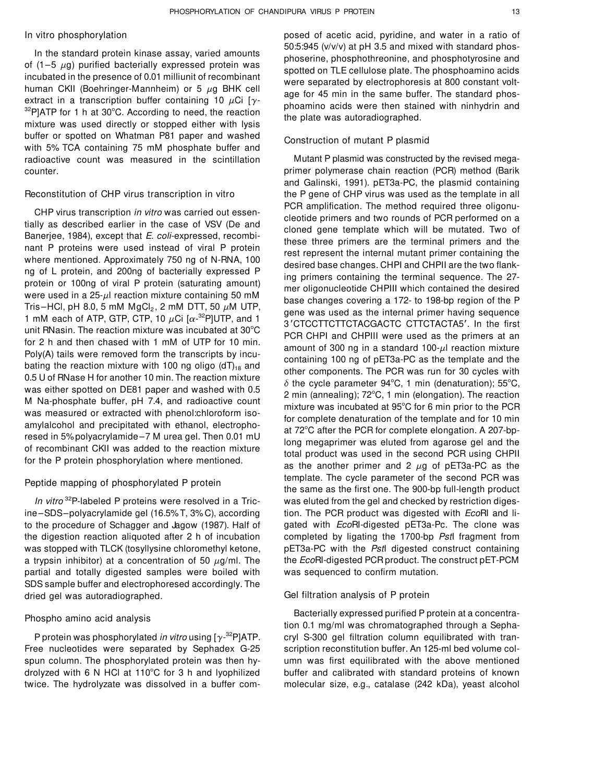extract in a transcription buffer containing 10  $\mu$ Ci [ $\gamma$ -<br><sup>32</sup>P]ATP for 1 h at 30°C. According to need, the reaction the plate was autoradiographed.<br>mixture was used directly or stopped either with lysis buffer or spotted on Whatman P81 paper and washed Construction of mutant P plasmid with 5% TCA containing 75 mM phosphate buffer and radioactive count was measured in the scintillation Mutant P plasmid was constructed by the revised megacounter. primer polymerase chain reaction (PCR) method (Barik

3<sup>2</sup> 1 3 Prot, pri 0.0, 5 hm mgong, 2 hm D 11, 30  $\mu$ m D 11, 30 and 3<sup>3</sup> gene was used as the internal primer having sequence 1 mM each of ATP, GTP, CTP, 10  $\mu$ Ci [ $\alpha$ -<sup>32</sup>P]UTP, and 1 3<sup>3</sup> CTCCTTCTTCTACGACTC CTTCTACTA

ine–SDS–polyacrylamide gel (16.5% T, 3% C), according tion. The PCR product was digested with EcoRI and lito the procedure of Schagger and Jagow (1987). Half of gated with EcoRI-digested pET3a-Pc. The clone was the digestion reaction aliquoted after 2 h of incubation completed by ligating the 1700-bp PstI fragment from was stopped with TLCK (tosyllysine chloromethyl ketone, pET3a-PC with the Pstl digested construct containing a trypsin inhibitor) at a concentration of 50  $\mu$ g/ml. The the EcoRI-digested PCR product. The construct pET-PCM partial and totally digested samples were boiled with was sequenced to confirm mutation. SDS sample buffer and electrophoresed accordingly. The dried gel was autoradiographed. Gel filtration analysis of P protein

Free nucleotides were separated by Sephadex G-25 scription reconstitution buffer. An 125-ml bed volume colspun column. The phosphorylated protein was then hy- umn was first equilibrated with the above mentioned drolyzed with 6 N HCl at 110°C for 3 h and lyophilized buffer and calibrated with standard proteins of known twice. The hydrolyzate was dissolved in a buffer com- molecular size, e.g., catalase (242 kDa), yeast alcohol

In vitro phosphorylation posed of acetic acid, pyridine, and water in a ratio of In the standard protein kinase assay, varied amounts<br>of (1–5  $\mu$ g) purified bacterially expressed protein was<br>incubated in the presence of 0.01 milliunit of recombinant<br>human CKII (Boehringer-Mannheim) or 5  $\mu$ g BHK cel

and Galinski, 1991). pET3a-PC, the plasmid containing Reconstitution of CHP virus transcription in vitro the P gene of CHP virus was used as the template in all CHP virus transcription in vitro was carried out essentially as described earlier in the case of VSV (De and<br>
Banerjee, 1984), except that *E. coli-expressed*, recombi-<br>
mant P proteins were used instead of viral P protei For 2 h and then chased with 1 mM of UTP for 10 min.<br>
Poly(A) tails were removed form the transcripts by incu-<br>
bating the reaction mixture with 100 ng oligo (dT)<sub>18</sub> and<br>
0.5 U of RNase H for another 10 min. The reaction Feptide mapping of phosphorylated P protein the same as the first one. The 900-bp full-length product In vitro  $32P$ -labeled P proteins were resolved in a Tric- was eluted from the gel and checked by restriction diges-

Bacterially expressed purified P protein at a concentra-<br>- Bacterially expressed purified P protein at a concentra-<br>tion 0.1 mg/ml was chromatographed through a Sepha-P protein was phosphorylated in vitro using  $[y^{32}P]ATP$ . cryl S-300 gel filtration column equilibrated with tran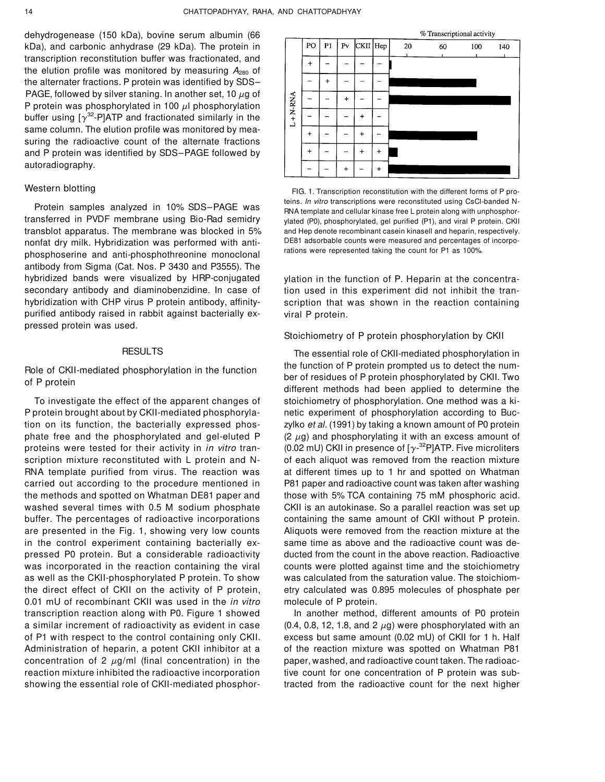dehydrogenease (150 kDa), bovine serum albumin (66 kDa), and carbonic anhydrase (29 kDa). The protein in transcription reconstitution buffer was fractionated, and the elution profile was monitored by measuring  $A_{280}$  of the alternater fractions. P protein was identified by SDS– PAGE, followed by silver staning. In another set, 10  $\mu$ g of P protein was phosphorylated in 100  $\mu$ l phosphorylation buffer using  $[\gamma^{32}\text{-P}]$ ATP and fractionated similarly in the same column. The elution profile was monitored by measuring the radioactive count of the alternate fractions and P protein was identified by SDS–PAGE followed by autoradiography.

transblot apparatus. The membrane was blocked in 5% and Hep denote recombinant casein kinasell and heparin, respectively. nonfat dry milk. Hybridization was performed with anti-<br>
nonfat dry milk. Hybridization was performed with anti-<br>
rations were represented taking the count for P1 as 100% phosphoserine and anti-phosphothreonine monoclonal antibody from Sigma (Cat. Nos. P 3430 and P3555). The hybridized bands were visualized by HRP-conjugated ylation in the function of P. Heparin at the concentrasecondary antibody and diaminobenzidine. In case of tion used in this experiment did not inhibit the tranhybridization with CHP virus P protein antibody, affinity- scription that was shown in the reaction containing purified antibody raised in rabbit against bacterially ex- viral P protein. pressed protein was used.

P protein brought about by CKII-mediated phosphoryla- netic experiment of phosphorylation according to Buction on its function, the bacterially expressed phos-<br>zylko et al. (1991) by taking a known amount of P0 protein phate free and the phosphorylated and gel-eluted  $P$  (2  $\mu$ g) and phosphorylating it with an excess amount of proteins were tested for their activity in *in vitro* tran-  $(0.02$  mU) CKII in presence of [ $\gamma$ -<sup>32</sup>P]ATP. Five microliters scription mixture reconstituted with L protein and N- of each aliquot was removed from the reaction mixture RNA template purified from virus. The reaction was at different times up to 1 hr and spotted on Whatman carried out according to the procedure mentioned in P81 paper and radioactive count was taken after washing the methods and spotted on Whatman DE81 paper and those with 5% TCA containing 75 mM phosphoric acid. washed several times with 0.5 M sodium phosphate CKII is an autokinase. So a parallel reaction was set up buffer. The percentages of radioactive incorporations containing the same amount of CKII without P protein. are presented in the Fig. 1, showing very low counts Aliquots were removed from the reaction mixture at the in the control experiment containing bacterially ex- same time as above and the radioactive count was depressed P0 protein. But a considerable radioactivity ducted from the count in the above reaction. Radioactive was incorporated in the reaction containing the viral counts were plotted against time and the stoichiometry as well as the CKII-phosphorylated P protein. To show was calculated from the saturation value. The stoichiomthe direct effect of CKII on the activity of P protein, etry calculated was 0.895 molecules of phosphate per 0.01 mU of recombinant CKII was used in the *in vitro* molecule of P protein. transcription reaction along with P0. Figure 1 showed In another method, different amounts of P0 protein a similar increment of radioactivity as evident in case  $(0.4, 0.8, 12, 1.8,$  and  $2 \mu g$ ) were phosphorylated with an of P1 with respect to the control containing only CKII. excess but same amount (0.02 mU) of CKII for 1 h. Half Administration of heparin, a potent CKII inhibitor at a of the reaction mixture was spotted on Whatman P81 concentration of 2  $\mu$ g/ml (final concentration) in the paper, washed, and radioactive count taken. The radioacreaction mixture inhibited the radioactive incorporation tive count for one concentration of P protein was sub-



Western blotting FIG. 1. Transcription reconstitution with the different forms of P proteins. *In vitro* transcriptions were reconstituted using CsCl-banded N-<br>RNA template and cellular kinase free L protein along with unphosphor-<br>Interansferred in PVDF membrane using Bio-Rad semidry whated (P0) phosphorylat ylated (P0), phosphorylated, gel purified (P1), and viral P protein. CKII

### Stoichiometry of P protein phosphorylation by CKII

RESULTS The essential role of CKII-mediated phosphorylation in Role of CKII-mediated phosphorylation in the function the function of P protein prompted us to detect the number of residues of P protein phosphorylated by CKII. Two of P protein phosphorylated by CKII. Two different methods had been applied to determine the To investigate the effect of the apparent changes of stoichiometry of phosphorylation. One method was a ki-

showing the essential role of CKII-mediated phosphor- tracted from the radioactive count for the next higher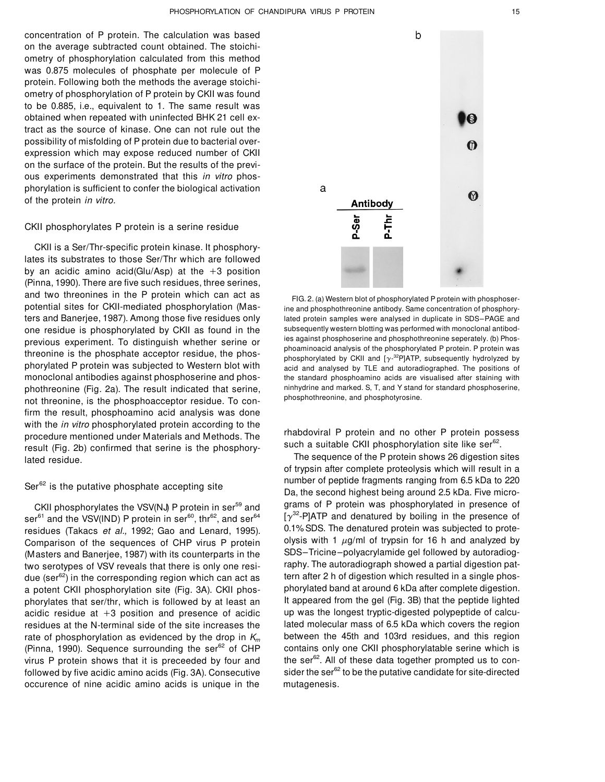concentration of P protein. The calculation was based on the average subtracted count obtained. The stoichiometry of phosphorylation calculated from this method was 0.875 molecules of phosphate per molecule of P protein. Following both the methods the average stoichiometry of phosphorylation of P protein by CKII was found to be 0.885, i.e., equivalent to 1. The same result was obtained when repeated with uninfected BHK 21 cell extract as the source of kinase. One can not rule out the possibility of misfolding of P protein due to bacterial overexpression which may expose reduced number of CKII on the surface of the protein. But the results of the previous experiments demonstrated that this in vitro phosphorylation is sufficient to confer the biological activation of the protein in vitro.

### CKII phosphorylates P protein is a serine residue

CKII is a Ser/Thr-specific protein kinase. It phosphorylates its substrates to those Ser/Thr which are followed by an acidic amino acid(Glu/Asp) at the  $+3$  position (Pinna, 1990). There are five such residues, three serines, and two threonines in the P protein which can act as  $FIG. 2. (a)$  Western blot of phosphorylated P protein with phosphoserpotential sites for CKII-mediated phosphorylation (Mas- ine and phosphothreonine antibody. Same concentration of phosphoryters and Banerjee, 1987). Among those five residues only lated protein samples were analysed in duplicate in SDS–PAGE and one residue is phosphorylated by CKII as found in the subsequently western blotting was performed with monoclonal antibod-<br>provious experiment. To distinguish whether series are is against phosphoserine and phosphothreonin previous experiment. To distinguish whether serine or a les against phosphoserine and phosphothreonine seperately. (b) Phos-<br>phoaminoacid analysis of the phosphorylated P protein. P protein was phoaminoacid analysis of the phosphorylated P protein. P protein was phoaminoacid analysis of the phosphorylated P protein. P protein was phosphorylated by CKII and [ $\gamma$ -<sup>32</sup>P]ATP, subsequently hydrolyzed by phorylated P protein was subjected to Western blot with acid and analysed by TLE and autoradiographed. The positions of monoclonal antibodies against phosphoserine and phos- the standard phosphoamino acids are visualised after staining with phothreonine (Fig. 2a). The result indicated that serine, ninhydrine and marked. S, T, and Y stand for standard phosphoserine, not throoning is the phosphosecopter residue. To see phosphothreonine, and phosphotyrosine. not threonine, is the phosphoacceptor residue. To confirm the result, phosphoamino acid analysis was done with the *in vitro* phosphorylated protein according to the procedure mentioned under Materials and Methods. The rhabdoviral P protein and no other P protein possess result (Fig. 2b) confirmed that serine is the phosphory-Inted residue.

residues (Takacs et al., 1992; Gao and Lenard, 1995). virus P protein shows that it is preceeded by four and occurence of nine acidic amino acids is unique in the mutagenesis.



such a suitable CKII phosphorylation site like ser<sup>62</sup>.

of trypsin after complete proteolysis which will result in a Ser<sup>62</sup> is the putative phosphate accepting site<br>Da, the second highest being around 2.5 kDa. Five micro-<br>Da, the second highest being around 2.5 kDa. Five micro-CKII phosphorylates the VSV(NJ) P protein in ser<sup>59</sup> and grams of P protein was phosphorylated in presence of  $[\gamma^{32}$ -P]ATP and denatured by boiling in the presence of  $3.32$  ser<sup>61</sup> and the VSV(IND) P protein in ser<sup>60</sup>, thr<sup>62</sup>, and ser<sup>64</sup> [ $\gamma^{32}$ -P]ATP and denatured by boiling in the presence of residues (Takacs *et al.* 1992; Gao and Lenard 1995) 0.1% SDS. The denatured protein w Comparison of the sequences of CHP virus P protein olysis with 1  $\mu$ g/ml of trypsin for 16 h and analyzed by (Masters and Banerjee, 1987) with its counterparts in the SDS–Tricine–polyacrylamide gel followed by autoradiogtwo serotypes of VSV reveals that there is only one resi- raphy. The autoradiograph showed a partial digestion patdue (ser<sup>62</sup>) in the corresponding region which can act as  $\frac{1}{2}$  tern after 2 h of digestion which resulted in a single phosa potent CKII phosphorylation site (Fig. 3A). CKII phos- phorylated band at around 6 kDa after complete digestion. phorylates that ser/thr, which is followed by at least an It appeared from the gel (Fig. 3B) that the peptide lighted acidic residue at +3 position and presence of acidic up was the longest tryptic-digested polypeptide of calcuresidues at the N-terminal side of the site increases the lated molecular mass of 6.5 kDa which covers the region rate of phosphorylation as evidenced by the drop in  $K_m$  between the 45th and 103rd residues, and this region (Pinna, 1990). Sequence surrounding the ser<sup>62</sup> of CHP contains only one CKII phosphorylatable serine which is (Pinna, 1990). Sequence surrounding the ser $^{62}$  of CHP contains only one CKII phosphorylatable serine which is virus P protein shows that it is preceeded by four and the ser $^{62}$ . All of these data together prompted us followed by five acidic amino acids (Fig. 3A). Consecutive sider the ser $^{62}$  to be the putative candidate for site-directed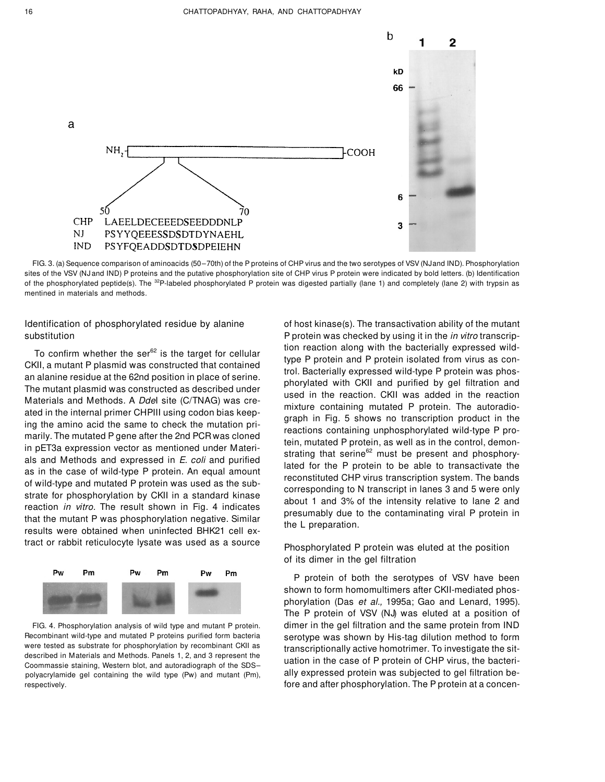

FIG. 3. (a) Sequence comparison of aminoacids (50–70th) of the P proteins of CHP virus and the two serotypes of VSV (NJand IND). Phosphorylation sites of the VSV (NJ and IND) P proteins and the putative phosphorylation site of CHP virus P protein were indicated by bold letters. (b) Identification of the phosphorylated peptide(s). The <sup>32</sup>P-labeled phosphorylated P protein was digested partially (lane 1) and completely (lane 2) with trypsin as mentined in materials and methods.

To confirm whether the ser<sup>82</sup> is the target for cellular<br>CKII, a mutant P plasmid was constructed that contained<br>to Dacterially expressed wild-type P protein is notained<br>to Dacterially expressed wild-type P protein is a tract or rabbit reticulocyte lysate was used as a source<br>Phosphorylated P protein was eluted at the position



Identification of phosphorylated residue by alanine of host kinase(s). The transactivation ability of the mutant substitution **EXEC 2008** P protein was checked by using it in the *in vitro* transcrip-

of its dimer in the gel filtration

P protein of both the serotypes of VSV have been shown to form homomultimers after CKII-mediated phosphorylation (Das et al., 1995a; Gao and Lenard, 1995). The P protein of VSV (NJ) was eluted at a position of FIG. 4. Phosphorylation analysis of wild type and mutant P protein. dimer in the gel filtration and the same protein from IND Recombinant wild-type and mutated P proteins purified form bacteria serotype was shown by His-tag dilution method to form<br>were tested as substrate for phosphorylation by recombinant CKII as transcriptionally optive bomotri were tested as substrate for phosphorylation by recombinant CKII as transcriptionally active homotrimer. To investigate the sit-<br>described in Materials and Methods. Panels 1, 2, and 3 represent the described in Materials and Methods. Panels 1, 2, and 3 represent the uation in the case of P protein of CHP virus, the bacteri-<br>Coommassie staining, Western blot, and autoradiograph of the SDS– polyacrylamide gel containing the wild type (Pw) and mutant (Pm), ally expressed protein was subjected to gel filtration berespectively. fore and after phosphorylation. The P protein at a concen-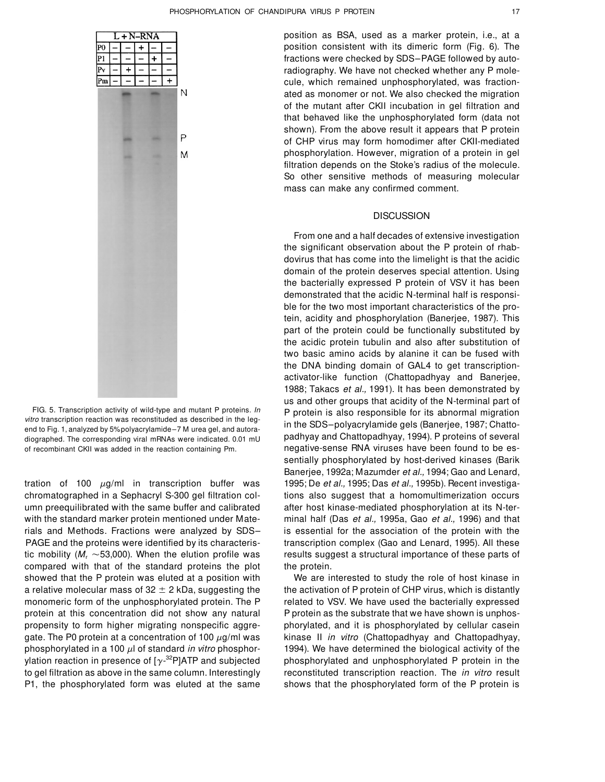

of recombinant CKII was added in the reaction containing Pm. negative-sense RNA viruses have been found to be es-

tration of 100  $\mu$ g/ml in transcription buffer was 1995; De et al., 1995; Das et al., 1995b). Recent investigachromatographed in a Sephacryl S-300 gel filtration col- tions also suggest that a homomultimerization occurs umn preequilibrated with the same buffer and calibrated after host kinase-mediated phosphorylation at its N-terwith the standard marker protein mentioned under Mate-<br>minal half (Das et al., 1995a, Gao et al., 1996) and that rials and Methods. Fractions were analyzed by SDS– is essential for the association of the protein with the PAGE and the proteins were identified by its characteris- transcription complex (Gao and Lenard, 1995). All these tic mobility ( $M_r \sim 53,000$ ). When the elution profile was results suggest a structural importance of these parts of compared with that of the standard proteins the plot the protein. showed that the P protein was eluted at a position with We are interested to study the role of host kinase in ylation reaction in presence of  $[\gamma^{-32}P]$ ATP and subjected P1, the phosphorylated form was eluted at the same shows that the phosphorylated form of the P protein is

position as BSA, used as a marker protein, i.e., at a position consistent with its dimeric form (Fig. 6). The fractions were checked by SDS–PAGE followed by autoradiography. We have not checked whether any P molecule, which remained unphosphorylated, was fractionated as monomer or not. We also checked the migration of the mutant after CKII incubation in gel filtration and that behaved like the unphosphorylated form (data not shown). From the above result it appears that P protein of CHP virus may form homodimer after CKII-mediated phosphorylation. However, migration of a protein in gel filtration depends on the Stoke's radius of the molecule. So other sensitive methods of measuring molecular mass can make any confirmed comment.

### **DISCUSSION**

From one and a half decades of extensive investigation the significant observation about the P protein of rhabdovirus that has come into the limelight is that the acidic domain of the protein deserves special attention. Using the bacterially expressed P protein of VSV it has been demonstrated that the acidic N-terminal half is responsible for the two most important characteristics of the protein, acidity and phosphorylation (Banerjee, 1987). This part of the protein could be functionally substituted by the acidic protein tubulin and also after substitution of two basic amino acids by alanine it can be fused with the DNA binding domain of GAL4 to get transcriptionactivator-like function (Chattopadhyay and Banerjee, 1988; Takacs et al., 1991). It has been demonstrated by us and other groups that acidity of the N-terminal part of FIG. 5. Transcription activity of wild-type and mutant P proteins.  $ln$  P protein is also responsible for its abnormal migration *vitro* transcription reaction was reconstituded as described in the leg-<br>in the CDC, polygog vitro transcription reaction was reconstituted as described in the leg-<br>end to Fig. 1, analyzed by 5%polyacrylamide–7 M urea gel, and autora-<br>end to Fig. 1, analyzed by 5%polyacrylamide–7 M urea gel, and autorapadhyay and Chattopadhyay, 1994). P proteins of several diographed. The corresponding viral mRNAs were indicated. 0.01 mU sentially phosphorylated by host-derived kinases (Barik Banerjee, 1992a; Mazumder et al., 1994; Gao and Lenard,

a relative molecular mass of  $32 \pm 2$  kDa, suggesting the the activation of P protein of CHP virus, which is distantly monomeric form of the unphosphorylated protein. The P related to VSV. We have used the bacterially expressed protein at this concentration did not show any natural P protein as the substrate that we have shown is unphospropensity to form higher migrating nonspecific aggre- phorylated, and it is phosphorylated by cellular casein gate. The P0 protein at a concentration of 100  $\mu$ g/ml was kinase II in vitro (Chattopadhyay and Chattopadhyay, phosphorylated in a 100  $\mu$ l of standard in vitro phosphor- 1994). We have determined the biological activity of the phosphorylated and unphosphorylated P protein in the to gel filtration as above in the same column. Interestingly reconstituted transcription reaction. The *in vitro* result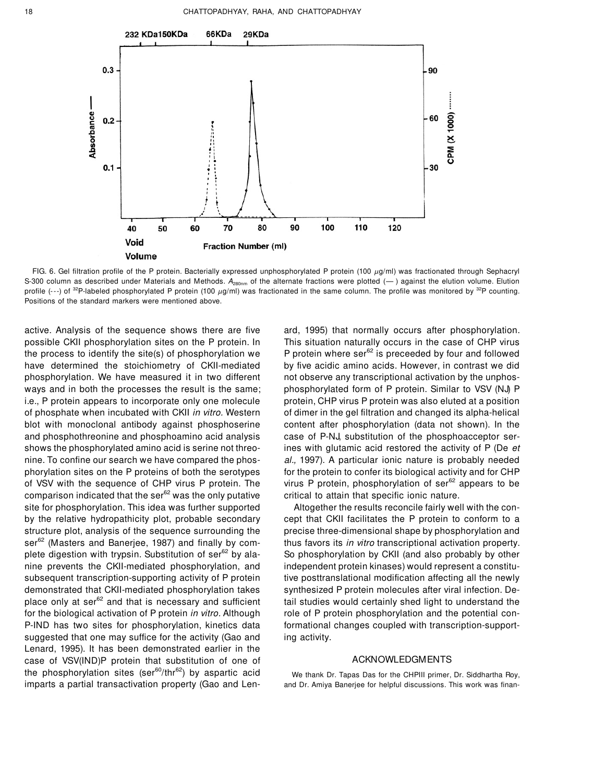

FIG. 6. Gel filtration profile of the P protein. Bacterially expressed unphosphorylated P protein (100  $\mu$ q/ml) was fractionated through Sephacryl S-300 column as described under Materials and Methods.  $A_{280n}$  of the alternate fractions were plotted  $(-)$  against the elution volume. Elution profile (---) of <sup>32</sup>P-labeled phosphorylated P protein (100  $\mu$ g/ml) was fractionated in the same column. The profile was monitored by <sup>32</sup>P counting. Positions of the standard markers were mentioned above.

active. Analysis of the sequence shows there are five ard, 1995) that normally occurs after phosphorylation. possible CKII phosphorylation sites on the P protein. In This situation naturally occurs in the case of CHP virus the process to identify the site(s) of phosphorylation we P protein where ser $62$  is preceeded by four and followed have determined the stoichiometry of CKII-mediated by five acidic amino acids. However, in contrast we did phosphorylation. We have measured it in two different not observe any transcriptional activation by the unphosways and in both the processes the result is the same; phosphorylated form of P protein. Similar to VSV (NJ) P i.e., P protein appears to incorporate only one molecule protein, CHP virus P protein was also eluted at a position of phosphate when incubated with CKII in vitro. Western of dimer in the gel filtration and changed its alpha-helical blot with monoclonal antibody against phosphoserine content after phosphorylation (data not shown). In the and phosphothreonine and phosphoamino acid analysis case of P-NJ, substitution of the phosphoacceptor sershows the phosphorylated amino acid is serine not threo- ines with glutamic acid restored the activity of P (De et nine. To confine our search we have compared the phos- al., 1997). A particular ionic nature is probably needed phorylation sites on the P proteins of both the serotypes for the protein to confer its biological activity and for CHP of VSV with the sequence of CHP virus P protein. The virus P protein, phosphorylation of ser<sup>62</sup> appears to be comparison indicated that the ser $^{62}$  was the only putative critical to attain that specific ionic nature. site for phosphorylation. This idea was further supported Altogether the results reconcile fairly well with the conby the relative hydropathicity plot, probable secondary cept that CKII facilitates the P protein to conform to a structure plot, analysis of the sequence surrounding the precise three-dimensional shape by phosphorylation and ser<sup>62</sup> (Masters and Banerjee, 1987) and finally by com-<br>thus favors its in vitro transcriptional activation property. plete digestion with trypsin. Substitution of ser<sup>62</sup> by ala-<br>So phosphorylation by CKII (and also probably by other nine prevents the CKII-mediated phosphorylation, and independent protein kinases) would represent a constitusubsequent transcription-supporting activity of P protein tive posttranslational modification affecting all the newly demonstrated that CKII-mediated phosphorylation takes synthesized P protein molecules after viral infection. Deplace only at ser<sup>62</sup> and that is necessary and sufficient tail studies would certainly shed light to understand the for the biological activation of P protein in vitro. Although role of P protein phosphorylation and the potential con-P-IND has two sites for phosphorylation, kinetics data formational changes coupled with transcription-supportsuggested that one may suffice for the activity (Gao and ing activity. Lenard, 1995). It has been demonstrated earlier in the case of VSV(IND)P protein that substitution of one of ACKNOWLEDGMENTS the phosphorylation sites (ser<sup>60</sup>/thr<sup>62</sup>) by aspartic acid We thank Dr. Tapas Das for the CHPIII primer, Dr. Siddhartha Roy,

imparts a partial transactivation property (Gao and Len- and Dr. Amiya Banerjee for helpful discussions. This work was finan-